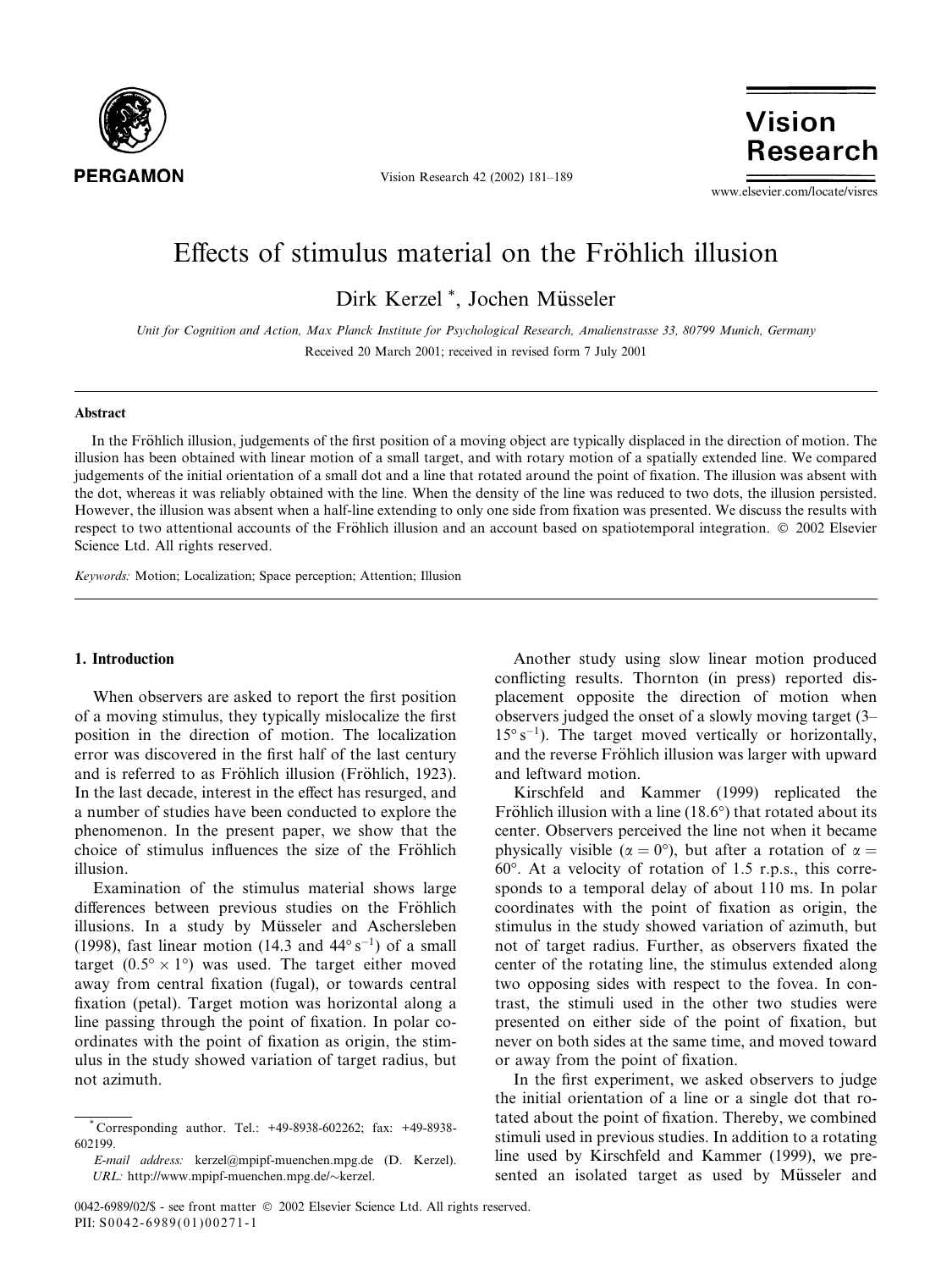

Vision Research 42 (2002) 181–189

**Vision Research** 

www.elsevier.com/locate/visres

# Effects of stimulus material on the Fröhlich illusion

Dirk Kerzel \*, Jochen Müsseler

Unit for Cognition and Action, Max Planck Institute for Psychological Research, Amalienstrasse 33, 80799 Munich, Germany Received 20 March 2001; received in revised form 7 July 2001

# Abstract

In the Fröhlich illusion, judgements of the first position of a moving object are typically displaced in the direction of motion. The illusion has been obtained with linear motion of a small target, and with rotary motion of a spatially extended line. We compared judgements of the initial orientation of a small dot and a line that rotated around the point of fixation. The illusion was absent with the dot, whereas it was reliably obtained with the line. When the density of the line was reduced to two dots, the illusion persisted. However, the illusion was absent when a half-line extending to only one side from fixation was presented. We discuss the results with respect to two attentional accounts of the Fröhlich illusion and an account based on spatiotemporal integration. © 2002 Elsevier Science Ltd. All rights reserved.

Keywords: Motion; Localization; Space perception; Attention; Illusion

# 1. Introduction

When observers are asked to report the first position of a moving stimulus, they typically mislocalize the first position in the direction of motion. The localization error was discovered in the first half of the last century and is referred to as Fröhlich illusion (Fröhlich, 1923). In the last decade, interest in the effect has resurged, and a number of studies have been conducted to explore the phenomenon. In the present paper, we show that the  $choice of stimulus influences the size of the Fröhlich$ illusion.

Examination of the stimulus material shows large differences between previous studies on the Fröhlich illusions. In a study by Müsseler and Aschersleben (1998), fast linear motion (14.3 and  $44^{\circ} s^{-1}$ ) of a small target  $(0.5^{\circ} \times 1^{\circ})$  was used. The target either moved away from central fixation (fugal), or towards central fixation (petal). Target motion was horizontal along a line passing through the point of fixation. In polar coordinates with the point of fixation as origin, the stimulus in the study showed variation of target radius, but not azimuth.

Another study using slow linear motion produced conflicting results. Thornton (in press) reported displacement opposite the direction of motion when observers judged the onset of a slowly moving target (3–  $15^{\circ}$  s<sup>-1</sup>). The target moved vertically or horizontally, and the reverse Fröhlich illusion was larger with upward and leftward motion.

Kirschfeld and Kammer (1999) replicated the Fröhlich illusion with a line  $(18.6^\circ)$  that rotated about its center. Observers perceived the line not when it became physically visible ( $\alpha = 0^{\circ}$ ), but after a rotation of  $\alpha =$  $60^\circ$ . At a velocity of rotation of 1.5 r.p.s., this corresponds to a temporal delay of about 110 ms. In polar coordinates with the point of fixation as origin, the stimulus in the study showed variation of azimuth, but not of target radius. Further, as observers fixated the center of the rotating line, the stimulus extended along two opposing sides with respect to the fovea. In contrast, the stimuli used in the other two studies were presented on either side of the point of fixation, but never on both sides at the same time, and moved toward or away from the point of fixation.

In the first experiment, we asked observers to judge the initial orientation of a line or a single dot that rotated about the point of fixation. Thereby, we combined stimuli used in previous studies. In addition to a rotating line used by Kirschfeld and Kammer (1999), we presented an isolated target as used by Müsseler and

Corresponding author. Tel.: +49-8938-602262; fax: +49-8938-602199.

E-mail address: kerzel@mpipf-muenchen.mpg.de (D. Kerzel).  $URL: \text{http://www.mpipf-muenchen.mpg.de/~kerzel.}$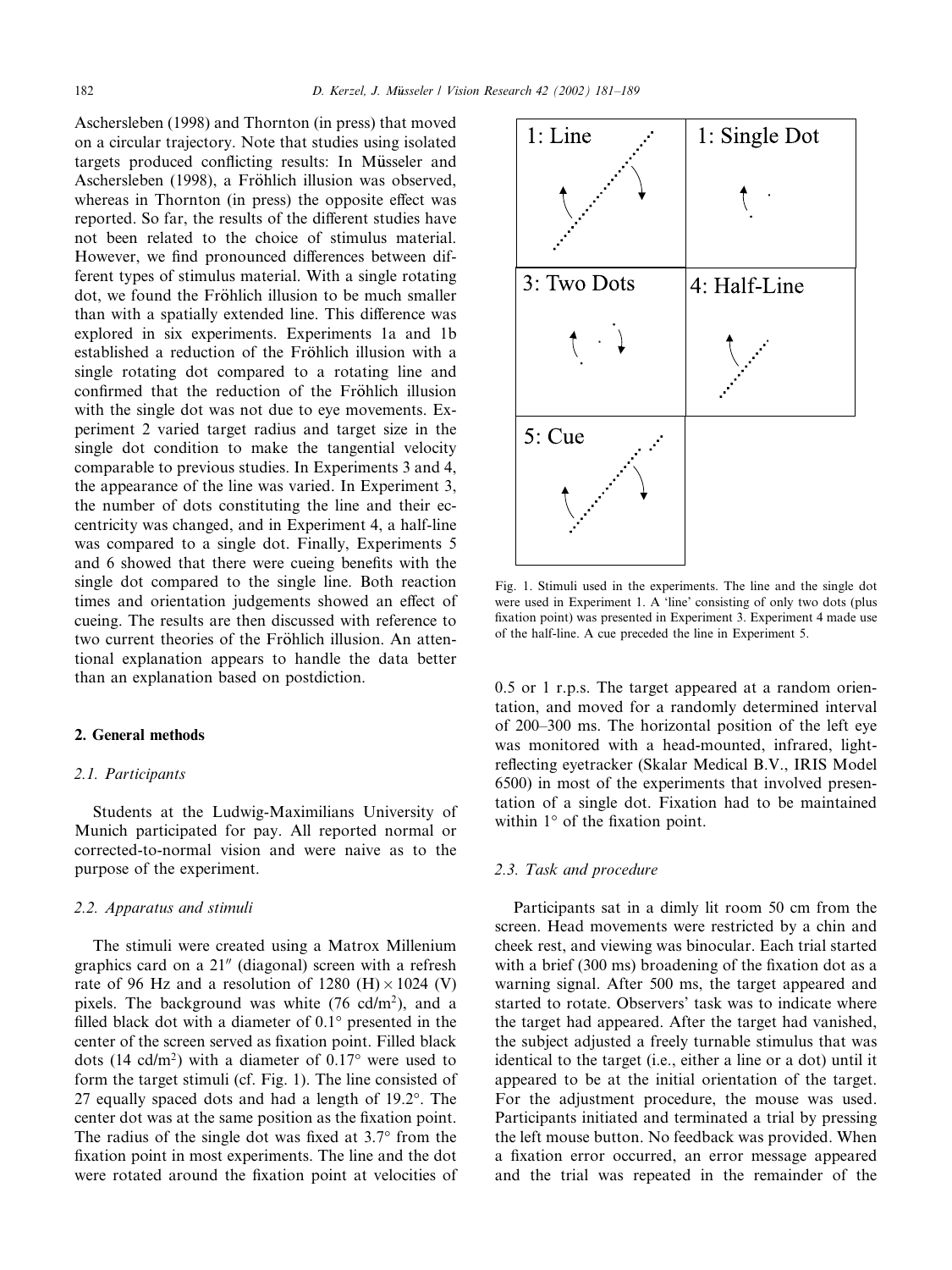Aschersleben (1998) and Thornton (in press) that moved on a circular trajectory. Note that studies using isolated targets produced conflicting results: In Müsseler and Aschersleben (1998), a Fröhlich illusion was observed, whereas in Thornton (in press) the opposite effect was reported. So far, the results of the different studies have not been related to the choice of stimulus material. However, we find pronounced differences between different types of stimulus material. With a single rotating dot, we found the Fröhlich illusion to be much smaller than with a spatially extended line. This difference was explored in six experiments. Experiments 1a and 1b established a reduction of the Fröhlich illusion with a single rotating dot compared to a rotating line and confirmed that the reduction of the Fröhlich illusion with the single dot was not due to eye movements. Experiment 2 varied target radius and target size in the single dot condition to make the tangential velocity comparable to previous studies. In Experiments 3 and 4, the appearance of the line was varied. In Experiment 3, the number of dots constituting the line and their eccentricity was changed, and in Experiment 4, a half-line was compared to a single dot. Finally, Experiments 5 and 6 showed that there were cueing benefits with the single dot compared to the single line. Both reaction times and orientation judgements showed an effect of cueing. The results are then discussed with reference to two current theories of the Fröhlich illusion. An attentional explanation appears to handle the data better than an explanation based on postdiction.

# 2. General methods

## 2.1. Participants

Students at the Ludwig-Maximilians University of Munich participated for pay. All reported normal or corrected-to-normal vision and were naive as to the purpose of the experiment.

# 2.2. Apparatus and stimuli

The stimuli were created using a Matrox Millenium graphics card on a  $21$ <sup>"</sup> (diagonal) screen with a refresh rate of 96 Hz and a resolution of 1280 (H) $\times$ 1024 (V) pixels. The background was white  $(76 \text{ cd/m}^2)$ , and a filled black dot with a diameter of  $0.1^{\circ}$  presented in the center of the screen served as fixation point. Filled black dots (14 cd/m<sup>2</sup>) with a diameter of  $0.17^{\circ}$  were used to form the target stimuli (cf. Fig. 1). The line consisted of 27 equally spaced dots and had a length of 19.2°. The center dot was at the same position as the fixation point. The radius of the single dot was fixed at  $3.7^\circ$  from the fixation point in most experiments. The line and the dot were rotated around the fixation point at velocities of



Fig. 1. Stimuli used in the experiments. The line and the single dot were used in Experiment 1. A 'line' consisting of only two dots (plus fixation point) was presented in Experiment 3. Experiment 4 made use of the half-line. A cue preceded the line in Experiment 5.

0.5 or 1 r.p.s. The target appeared at a random orientation, and moved for a randomly determined interval of 200–300 ms. The horizontal position of the left eye was monitored with a head-mounted, infrared, lightreflecting eyetracker (Skalar Medical B.V., IRIS Model 6500) in most of the experiments that involved presentation of a single dot. Fixation had to be maintained within  $1^{\circ}$  of the fixation point.

# 2.3. Task and procedure

Participants sat in a dimly lit room 50 cm from the screen. Head movements were restricted by a chin and cheek rest, and viewing was binocular. Each trial started with a brief (300 ms) broadening of the fixation dot as a warning signal. After 500 ms, the target appeared and started to rotate. Observers' task was to indicate where the target had appeared. After the target had vanished, the subject adjusted a freely turnable stimulus that was identical to the target (i.e., either a line or a dot) until it appeared to be at the initial orientation of the target. For the adjustment procedure, the mouse was used. Participants initiated and terminated a trial by pressing the left mouse button. No feedback was provided. When a fixation error occurred, an error message appeared and the trial was repeated in the remainder of the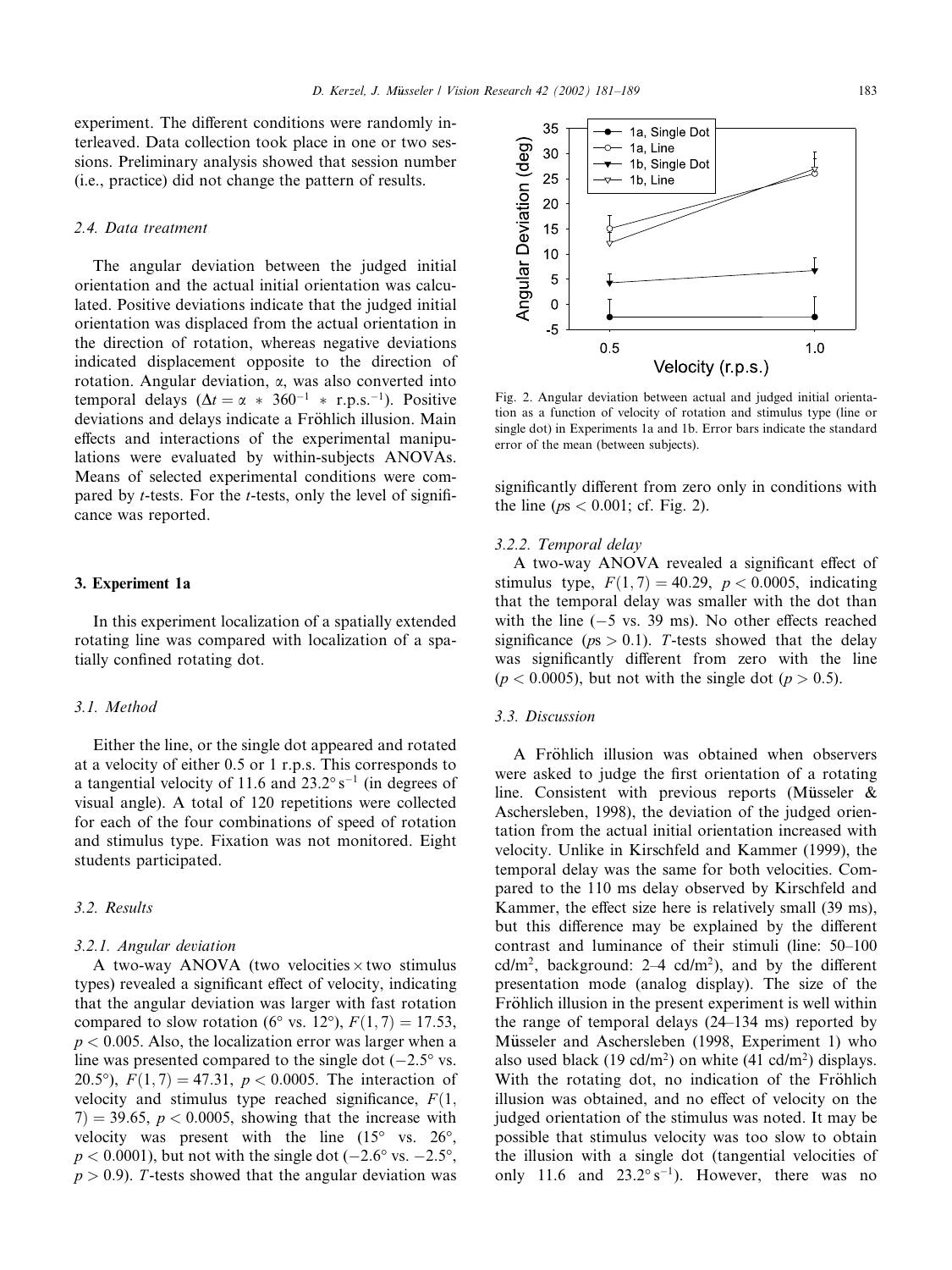experiment. The different conditions were randomly interleaved. Data collection took place in one or two sessions. Preliminary analysis showed that session number (i.e., practice) did not change the pattern of results.

## 2.4. Data treatment

The angular deviation between the judged initial orientation and the actual initial orientation was calculated. Positive deviations indicate that the judged initial orientation was displaced from the actual orientation in the direction of rotation, whereas negative deviations indicated displacement opposite to the direction of rotation. Angular deviation,  $\alpha$ , was also converted into temporal delays  $(\Delta t = \alpha * 360^{-1} * r.p.s.^{-1})$ . Positive deviations and delays indicate a Fröhlich illusion. Main effects and interactions of the experimental manipulations were evaluated by within-subjects ANOVAs. Means of selected experimental conditions were compared by  $t$ -tests. For the  $t$ -tests, only the level of significance was reported.

# 3. Experiment 1a

In this experiment localization of a spatially extended rotating line was compared with localization of a spatially confined rotating dot.

## 3.1. Method

Either the line, or the single dot appeared and rotated at a velocity of either 0.5 or 1 r.p.s. This corresponds to a tangential velocity of 11.6 and  $23.2^{\circ} s^{-1}$  (in degrees of visual angle). A total of 120 repetitions were collected for each of the four combinations of speed of rotation and stimulus type. Fixation was not monitored. Eight students participated.

# 3.2. Results

# 3.2.1. Angular deviation

A two-way ANOVA (two velocities  $\times$  two stimulus types) revealed a significant effect of velocity, indicating that the angular deviation was larger with fast rotation compared to slow rotation (6<sup>o</sup> vs. 12<sup>o</sup>),  $F(1, 7) = 17.53$ ,  $p < 0.005$ . Also, the localization error was larger when a line was presented compared to the single dot  $(-2.5^{\circ} \text{ vs.})$ 20.5°),  $F(1,7) = 47.31$ ,  $p < 0.0005$ . The interaction of velocity and stimulus type reached significance,  $F(1)$ ,  $7) = 39.65$ ,  $p < 0.0005$ , showing that the increase with velocity was present with the line  $(15^{\circ}$  vs.  $26^{\circ}$ ,  $p < 0.0001$ ), but not with the single dot (-2.6 $\degree$  vs. -2.5 $\degree$ ,  $p > 0.9$ ). T-tests showed that the angular deviation was



Fig. 2. Angular deviation between actual and judged initial orientation as a function of velocity of rotation and stimulus type (line or single dot) in Experiments 1a and 1b. Error bars indicate the standard error of the mean (between subjects).

significantly different from zero only in conditions with the line ( $ps < 0.001$ ; cf. Fig. 2).

#### 3.2.2. Temporal delay

A two-way ANOVA revealed a significant effect of stimulus type,  $F(1, 7) = 40.29$ ,  $p < 0.0005$ , indicating that the temporal delay was smaller with the dot than with the line  $(-5 \text{ vs. } 39 \text{ ms})$ . No other effects reached significance ( $ps > 0.1$ ). T-tests showed that the delay was significantly different from zero with the line  $(p < 0.0005)$ , but not with the single dot  $(p > 0.5)$ .

# 3.3. Discussion

A Fröhlich illusion was obtained when observers were asked to judge the first orientation of a rotating line. Consistent with previous reports (Müsseler  $\&$ Aschersleben, 1998), the deviation of the judged orientation from the actual initial orientation increased with velocity. Unlike in Kirschfeld and Kammer (1999), the temporal delay was the same for both velocities. Compared to the 110 ms delay observed by Kirschfeld and Kammer, the effect size here is relatively small (39 ms), but this difference may be explained by the different contrast and luminance of their stimuli (line: 50–100 cd/m<sup>2</sup>, background:  $2-4$  cd/m<sup>2</sup>), and by the different presentation mode (analog display). The size of the Fröhlich illusion in the present experiment is well within the range of temporal delays (24–134 ms) reported by Müsseler and Aschersleben (1998, Experiment 1) who also used black (19 cd/m<sup>2</sup>) on white (41 cd/m<sup>2</sup>) displays. With the rotating dot, no indication of the Fröhlich illusion was obtained, and no effect of velocity on the judged orientation of the stimulus was noted. It may be possible that stimulus velocity was too slow to obtain the illusion with a single dot (tangential velocities of only 11.6 and  $23.2^{\circ} s^{-1}$ ). However, there was no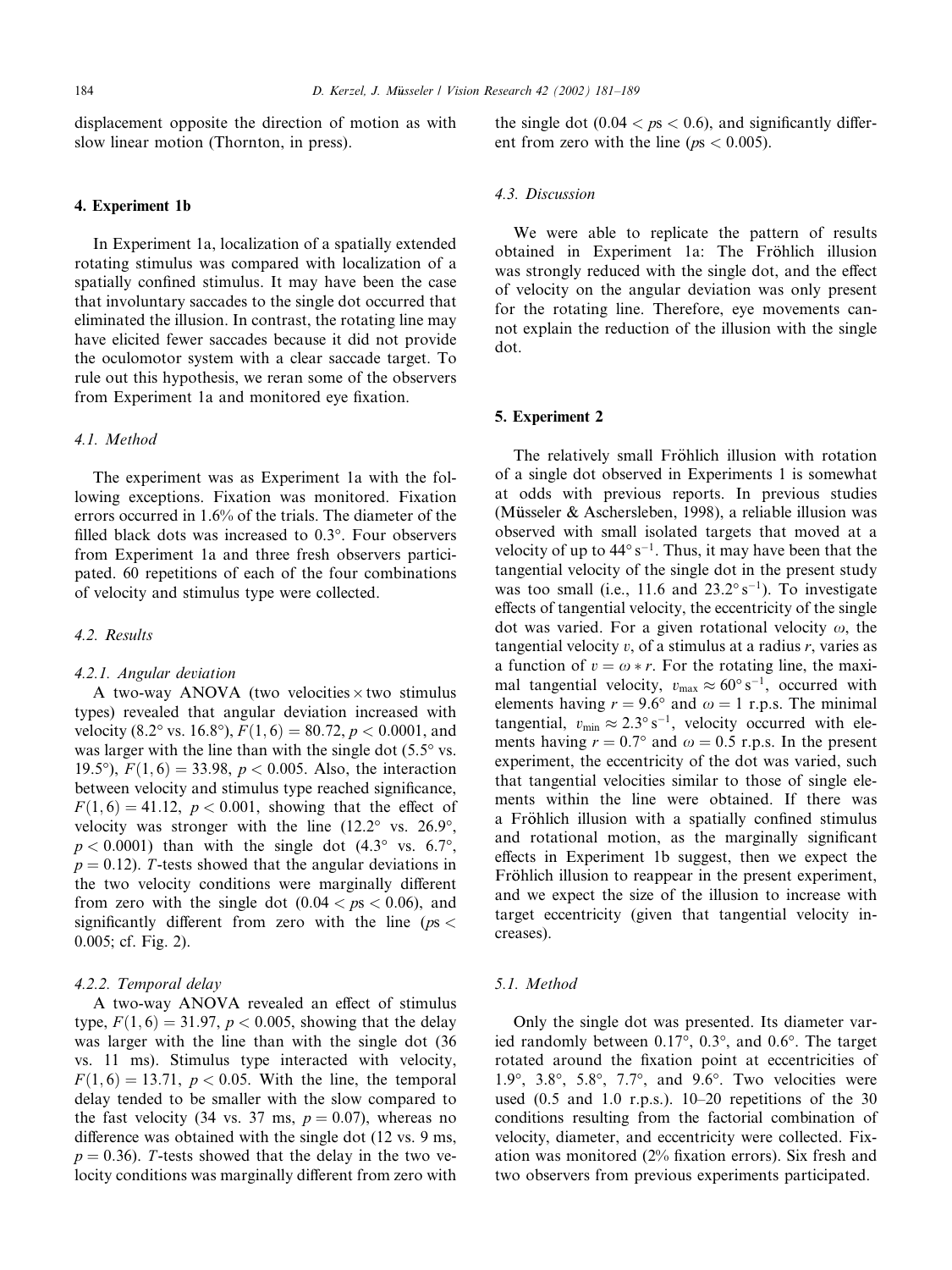displacement opposite the direction of motion as with slow linear motion (Thornton, in press).

# 4. Experiment 1b

In Experiment 1a, localization of a spatially extended rotating stimulus was compared with localization of a spatially confined stimulus. It may have been the case that involuntary saccades to the single dot occurred that eliminated the illusion. In contrast, the rotating line may have elicited fewer saccades because it did not provide the oculomotor system with a clear saccade target. To rule out this hypothesis, we reran some of the observers from Experiment 1a and monitored eye fixation.

# 4.1. Method

The experiment was as Experiment 1a with the following exceptions. Fixation was monitored. Fixation errors occurred in 1.6% of the trials. The diameter of the filled black dots was increased to 0.3°. Four observers from Experiment 1a and three fresh observers participated. 60 repetitions of each of the four combinations of velocity and stimulus type were collected.

# 4.2. Results

# 4.2.1. Angular deviation

A two-way ANOVA (two velocities  $\times$  two stimulus types) revealed that angular deviation increased with velocity (8.2° vs. 16.8°),  $F(1,6) = 80.72, p < 0.0001$ , and was larger with the line than with the single dot  $(5.5^{\circ} \text{ vs.})$ 19.5°),  $F(1,6) = 33.98$ ,  $p < 0.005$ . Also, the interaction between velocity and stimulus type reached significance,  $F(1, 6) = 41.12$ ,  $p < 0.001$ , showing that the effect of velocity was stronger with the line  $(12.2^{\circ}$  vs.  $26.9^{\circ}$ ,  $p < 0.0001$ ) than with the single dot  $(4.3^{\circ}$  vs. 6.7°,  $p = 0.12$ ). T-tests showed that the angular deviations in the two velocity conditions were marginally different from zero with the single dot  $(0.04 < ps < 0.06)$ , and significantly different from zero with the line ( $ps <$ 0.005; cf. Fig. 2).

#### 4.2.2. Temporal delay

A two-way ANOVA revealed an effect of stimulus type,  $F(1, 6) = 31.97$ ,  $p < 0.005$ , showing that the delay was larger with the line than with the single dot (36 vs. 11 ms). Stimulus type interacted with velocity,  $F(1,6) = 13.71$ ,  $p < 0.05$ . With the line, the temporal delay tended to be smaller with the slow compared to the fast velocity (34 vs. 37 ms,  $p = 0.07$ ), whereas no difference was obtained with the single dot (12 vs. 9 ms,  $p = 0.36$ ). T-tests showed that the delay in the two velocity conditions was marginally different from zero with

the single dot  $(0.04 < ps < 0.6)$ , and significantly different from zero with the line ( $ps < 0.005$ ).

## 4.3. Discussion

We were able to replicate the pattern of results obtained in Experiment 1a: The Fröhlich illusion was strongly reduced with the single dot, and the effect of velocity on the angular deviation was only present for the rotating line. Therefore, eye movements cannot explain the reduction of the illusion with the single dot.

#### 5. Experiment 2

The relatively small Fröhlich illusion with rotation of a single dot observed in Experiments 1 is somewhat at odds with previous reports. In previous studies (Müsseler & Aschersleben, 1998), a reliable illusion was observed with small isolated targets that moved at a velocity of up to  $44^{\circ} s^{-1}$ . Thus, it may have been that the tangential velocity of the single dot in the present study was too small (i.e., 11.6 and  $23.2^{\circ} s^{-1}$ ). To investigate effects of tangential velocity, the eccentricity of the single dot was varied. For a given rotational velocity  $\omega$ , the tangential velocity  $v$ , of a stimulus at a radius  $r$ , varies as a function of  $v = \omega * r$ . For the rotating line, the maximal tangential velocity,  $v_{\text{max}} \approx 60^{\circ} \text{ s}^{-1}$ , occurred with elements having  $r = 9.6^{\circ}$  and  $\omega = 1$  r.p.s. The minimal tangential,  $v_{\text{min}} \approx 2.3^{\circ} \text{ s}^{-1}$ , velocity occurred with elements having  $r = 0.7^{\circ}$  and  $\omega = 0.5$  r.p.s. In the present experiment, the eccentricity of the dot was varied, such that tangential velocities similar to those of single elements within the line were obtained. If there was a Fröhlich illusion with a spatially confined stimulus and rotational motion, as the marginally significant effects in Experiment 1b suggest, then we expect the Fröhlich illusion to reappear in the present experiment, and we expect the size of the illusion to increase with target eccentricity (given that tangential velocity increases).

# 5.1. Method

Only the single dot was presented. Its diameter varied randomly between  $0.17^{\circ}$ ,  $0.3^{\circ}$ , and  $0.6^{\circ}$ . The target rotated around the fixation point at eccentricities of  $1.9^\circ$ ,  $3.8^\circ$ ,  $5.8^\circ$ ,  $7.7^\circ$ , and  $9.6^\circ$ . Two velocities were used  $(0.5 \text{ and } 1.0 \text{ r.p.s.})$ . 10–20 repetitions of the 30 conditions resulting from the factorial combination of velocity, diameter, and eccentricity were collected. Fixation was monitored (2% fixation errors). Six fresh and two observers from previous experiments participated.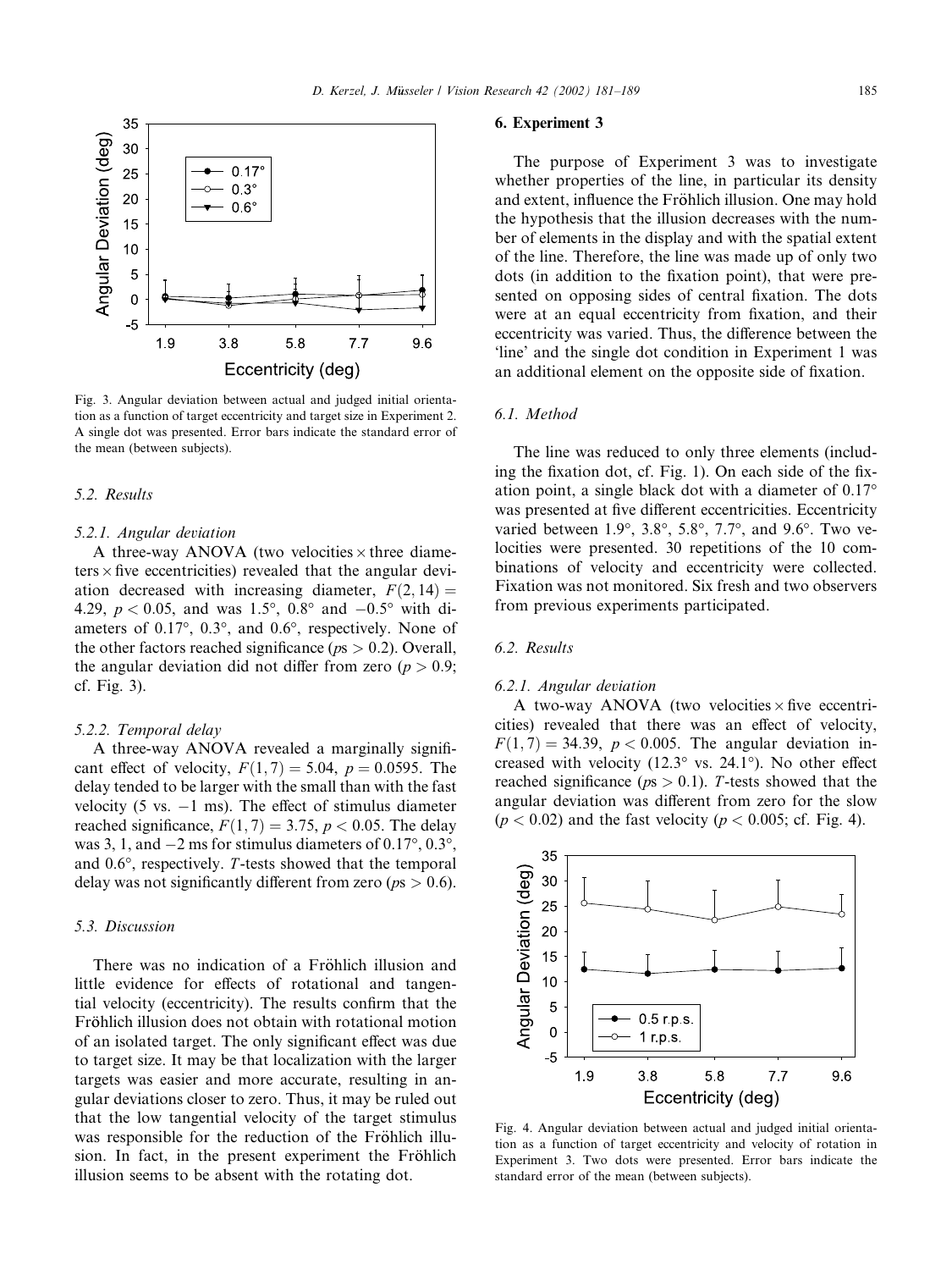

Fig. 3. Angular deviation between actual and judged initial orientation as a function of target eccentricity and target size in Experiment 2. A single dot was presented. Error bars indicate the standard error of the mean (between subjects).

## 5.2. Results

## 5.2.1. Angular deviation

A three-way ANOVA (two velocities  $\times$  three diame $ters \times five$  eccentricities) revealed that the angular deviation decreased with increasing diameter,  $F(2, 14) =$ 4.29,  $p < 0.05$ , and was 1.5°, 0.8° and  $-0.5$ ° with diameters of 0.17°, 0.3°, and 0.6°, respectively. None of the other factors reached significance ( $ps > 0.2$ ). Overall, the angular deviation did not differ from zero ( $p > 0.9$ ; cf. Fig. 3).

### 5.2.2. Temporal delay

A three-way ANOVA revealed a marginally significant effect of velocity,  $F(1, 7) = 5.04$ ,  $p = 0.0595$ . The delay tended to be larger with the small than with the fast velocity (5 vs.  $-1$  ms). The effect of stimulus diameter reached significance,  $F(1, 7) = 3.75$ ,  $p < 0.05$ . The delay was 3, 1, and  $-2$  ms for stimulus diameters of 0.17°, 0.3°, and 0.6°, respectively. T-tests showed that the temporal delay was not significantly different from zero ( $ps > 0.6$ ).

# 5.3. Discussion

There was no indication of a Fröhlich illusion and little evidence for effects of rotational and tangential velocity (eccentricity). The results confirm that the Fröhlich illusion does not obtain with rotational motion of an isolated target. The only significant effect was due to target size. It may be that localization with the larger targets was easier and more accurate, resulting in angular deviations closer to zero. Thus, it may be ruled out that the low tangential velocity of the target stimulus was responsible for the reduction of the Fröhlich illusion. In fact, in the present experiment the Fröhlich illusion seems to be absent with the rotating dot.

#### 6. Experiment 3

The purpose of Experiment 3 was to investigate whether properties of the line, in particular its density and extent, influence the Fröhlich illusion. One may hold the hypothesis that the illusion decreases with the number of elements in the display and with the spatial extent of the line. Therefore, the line was made up of only two dots (in addition to the fixation point), that were presented on opposing sides of central fixation. The dots were at an equal eccentricity from fixation, and their eccentricity was varied. Thus, the difference between the 'line' and the single dot condition in Experiment 1 was an additional element on the opposite side of fixation.

# 6.1. Method

The line was reduced to only three elements (including the fixation dot, cf. Fig. 1). On each side of the fixation point, a single black dot with a diameter of  $0.17^{\circ}$ was presented at five different eccentricities. Eccentricity varied between  $1.9^{\circ}$ ,  $3.8^{\circ}$ ,  $5.8^{\circ}$ ,  $7.7^{\circ}$ , and  $9.6^{\circ}$ . Two velocities were presented. 30 repetitions of the 10 combinations of velocity and eccentricity were collected. Fixation was not monitored. Six fresh and two observers from previous experiments participated.

# 6.2. Results

## 6.2.1. Angular deviation

A two-way ANOVA (two velocities  $\times$  five eccentricities) revealed that there was an effect of velocity,  $F(1, 7) = 34.39, p < 0.005$ . The angular deviation increased with velocity  $(12.3^{\circ}$  vs.  $24.1^{\circ})$ . No other effect reached significance ( $ps > 0.1$ ). T-tests showed that the angular deviation was different from zero for the slow  $(p < 0.02)$  and the fast velocity  $(p < 0.005$ ; cf. Fig. 4).



Fig. 4. Angular deviation between actual and judged initial orientation as a function of target eccentricity and velocity of rotation in Experiment 3. Two dots were presented. Error bars indicate the standard error of the mean (between subjects).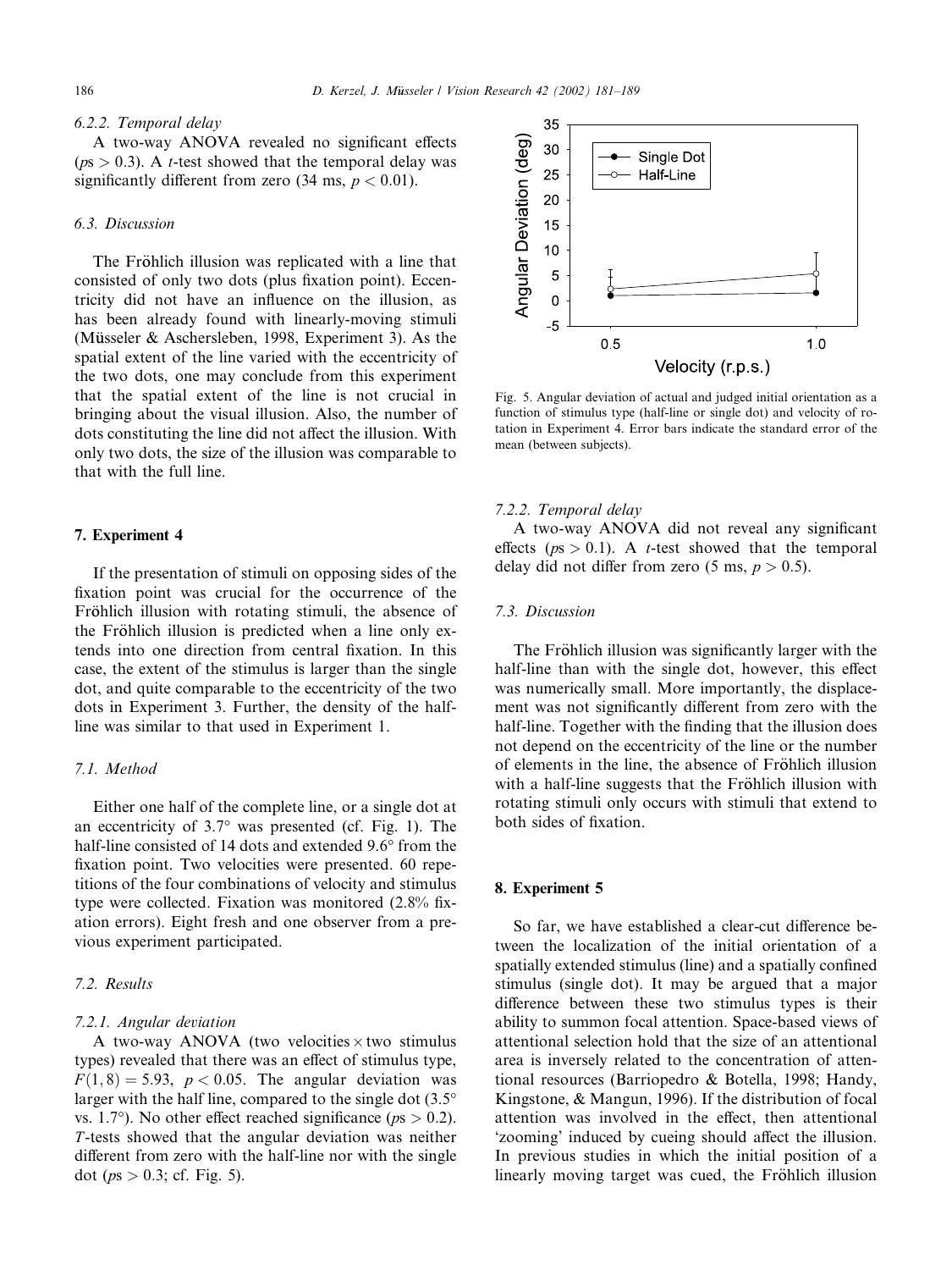## 6.2.2. Temporal delay

A two-way ANOVA revealed no significant effects ( $ps > 0.3$ ). A *t*-test showed that the temporal delay was significantly different from zero (34 ms,  $p < 0.01$ ).

# 6.3. Discussion

The Fröhlich illusion was replicated with a line that consisted of only two dots (plus fixation point). Eccentricity did not have an influence on the illusion, as has been already found with linearly-moving stimuli (Müsseler & Aschersleben, 1998, Experiment 3). As the spatial extent of the line varied with the eccentricity of the two dots, one may conclude from this experiment that the spatial extent of the line is not crucial in bringing about the visual illusion. Also, the number of dots constituting the line did not affect the illusion. With only two dots, the size of the illusion was comparable to that with the full line.

# 7. Experiment 4

If the presentation of stimuli on opposing sides of the fixation point was crucial for the occurrence of the Fröhlich illusion with rotating stimuli, the absence of the Fröhlich illusion is predicted when a line only extends into one direction from central fixation. In this case, the extent of the stimulus is larger than the single dot, and quite comparable to the eccentricity of the two dots in Experiment 3. Further, the density of the halfline was similar to that used in Experiment 1.

## 7.1. Method

Either one half of the complete line, or a single dot at an eccentricity of  $3.7^{\circ}$  was presented (cf. Fig. 1). The half-line consisted of 14 dots and extended 9.6° from the fixation point. Two velocities were presented. 60 repetitions of the four combinations of velocity and stimulus type were collected. Fixation was monitored (2.8% fixation errors). Eight fresh and one observer from a previous experiment participated.

## 7.2. Results

#### 7.2.1. Angular deviation

A two-way ANOVA (two velocities  $\times$  two stimulus types) revealed that there was an effect of stimulus type,  $F(1, 8) = 5.93$ ,  $p < 0.05$ . The angular deviation was larger with the half line, compared to the single dot (3.5° vs. 1.7°). No other effect reached significance ( $ps > 0.2$ ). T -tests showed that the angular deviation was neither different from zero with the half-line nor with the single dot ( $ps > 0.3$ ; cf. Fig. 5).



Fig. 5. Angular deviation of actual and judged initial orientation as a function of stimulus type (half-line or single dot) and velocity of rotation in Experiment 4. Error bars indicate the standard error of the mean (between subjects).

#### 7.2.2. Temporal delay

A two-way ANOVA did not reveal any significant effects ( $ps > 0.1$ ). A *t*-test showed that the temporal delay did not differ from zero (5 ms,  $p > 0.5$ ).

## 7.3. Discussion

The Fröhlich illusion was significantly larger with the half-line than with the single dot, however, this effect was numerically small. More importantly, the displacement was not significantly different from zero with the half-line. Together with the finding that the illusion does not depend on the eccentricity of the line or the number of elements in the line, the absence of Fröhlich illusion with a half-line suggests that the Fröhlich illusion with rotating stimuli only occurs with stimuli that extend to both sides of fixation.

# 8. Experiment 5

So far, we have established a clear-cut difference between the localization of the initial orientation of a spatially extended stimulus (line) and a spatially confined stimulus (single dot). It may be argued that a major difference between these two stimulus types is their ability to summon focal attention. Space-based views of attentional selection hold that the size of an attentional area is inversely related to the concentration of attentional resources (Barriopedro & Botella, 1998; Handy, Kingstone, & Mangun, 1996). If the distribution of focal attention was involved in the effect, then attentional 'zooming' induced by cueing should affect the illusion. In previous studies in which the initial position of a linearly moving target was cued, the Fröhlich illusion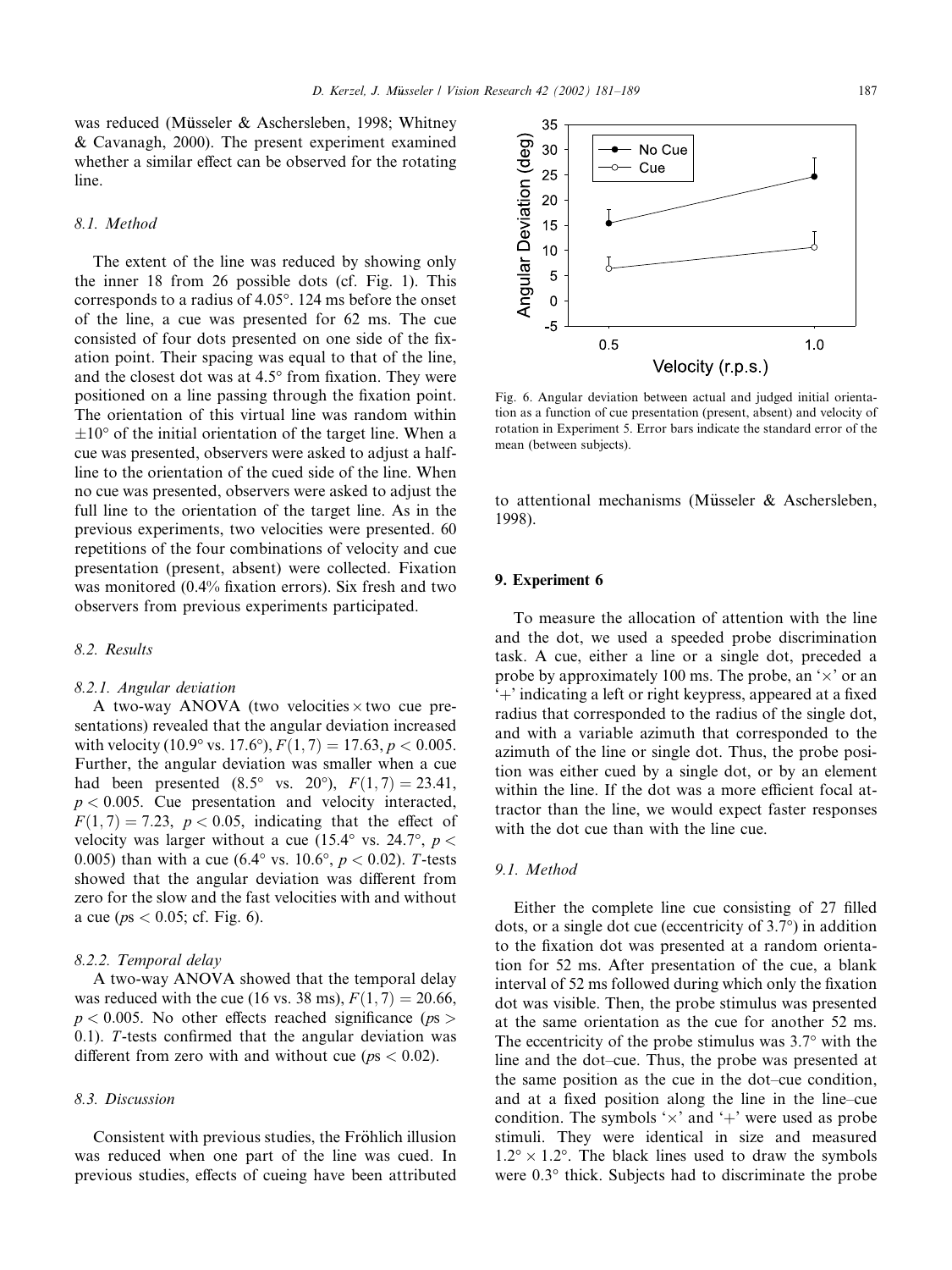was reduced (Müsseler & Aschersleben, 1998; Whitney & Cavanagh, 2000). The present experiment examined whether a similar effect can be observed for the rotating line.

## 8.1. Method

The extent of the line was reduced by showing only the inner 18 from 26 possible dots (cf. Fig. 1). This corresponds to a radius of 4.05°. 124 ms before the onset of the line, a cue was presented for 62 ms. The cue consisted of four dots presented on one side of the fixation point. Their spacing was equal to that of the line, and the closest dot was at  $4.5^{\circ}$  from fixation. They were positioned on a line passing through the fixation point. The orientation of this virtual line was random within  $\pm 10^{\circ}$  of the initial orientation of the target line. When a cue was presented, observers were asked to adjust a halfline to the orientation of the cued side of the line. When no cue was presented, observers were asked to adjust the full line to the orientation of the target line. As in the previous experiments, two velocities were presented. 60 repetitions of the four combinations of velocity and cue presentation (present, absent) were collected. Fixation was monitored (0.4% fixation errors). Six fresh and two observers from previous experiments participated.

# 8.2. Results

#### 8.2.1. Angular deviation

A two-way ANOVA (two velocities  $\times$  two cue presentations) revealed that the angular deviation increased with velocity (10.9° vs. 17.6°),  $F(1, 7) = 17.63, p < 0.005$ . Further, the angular deviation was smaller when a cue had been presented  $(8.5^{\circ}$  vs.  $20^{\circ})$ ,  $F(1, 7) = 23.41$ ,  $p < 0.005$ . Cue presentation and velocity interacted,  $F(1, 7) = 7.23$ ,  $p < 0.05$ , indicating that the effect of velocity was larger without a cue (15.4 $\degree$  vs. 24.7 $\degree$ ,  $p$  < 0.005) than with a cue (6.4 $^{\circ}$  vs. 10.6 $^{\circ}$ ,  $p < 0.02$ ). T-tests showed that the angular deviation was different from zero for the slow and the fast velocities with and without a cue ( $ps < 0.05$ ; cf. Fig. 6).

#### 8.2.2. Temporal delay

A two-way ANOVA showed that the temporal delay was reduced with the cue (16 vs. 38 ms),  $F(1, 7) = 20.66$ ,  $p < 0.005$ . No other effects reached significance ( $p_s$ ) 0:1). T -tests confirmed that the angular deviation was different from zero with and without cue ( $ps < 0.02$ ).

## 8.3. Discussion

Consistent with previous studies, the Fröhlich illusion was reduced when one part of the line was cued. In previous studies, effects of cueing have been attributed

Fig. 6. Angular deviation between actual and judged initial orientation as a function of cue presentation (present, absent) and velocity of rotation in Experiment 5. Error bars indicate the standard error of the mean (between subjects).

to attentional mechanisms (Müsseler & Aschersleben, 1998).

# 9. Experiment 6

To measure the allocation of attention with the line and the dot, we used a speeded probe discrimination task. A cue, either a line or a single dot, preceded a probe by approximately 100 ms. The probe, an  $\cdot \times$  or an 'þ' indicating a left or right keypress, appeared at a fixed radius that corresponded to the radius of the single dot, and with a variable azimuth that corresponded to the azimuth of the line or single dot. Thus, the probe position was either cued by a single dot, or by an element within the line. If the dot was a more efficient focal attractor than the line, we would expect faster responses with the dot cue than with the line cue.

## 9.1. Method

Either the complete line cue consisting of 27 filled dots, or a single dot cue (eccentricity of  $3.7^{\circ}$ ) in addition to the fixation dot was presented at a random orientation for 52 ms. After presentation of the cue, a blank interval of 52 ms followed during which only the fixation dot was visible. Then, the probe stimulus was presented at the same orientation as the cue for another 52 ms. The eccentricity of the probe stimulus was  $3.7^{\circ}$  with the line and the dot–cue. Thus, the probe was presented at the same position as the cue in the dot–cue condition, and at a fixed position along the line in the line–cue condition. The symbols  $\forall x$  and  $\forall$  were used as probe stimuli. They were identical in size and measured  $1.2^{\circ} \times 1.2^{\circ}$ . The black lines used to draw the symbols were 0.3° thick. Subjects had to discriminate the probe

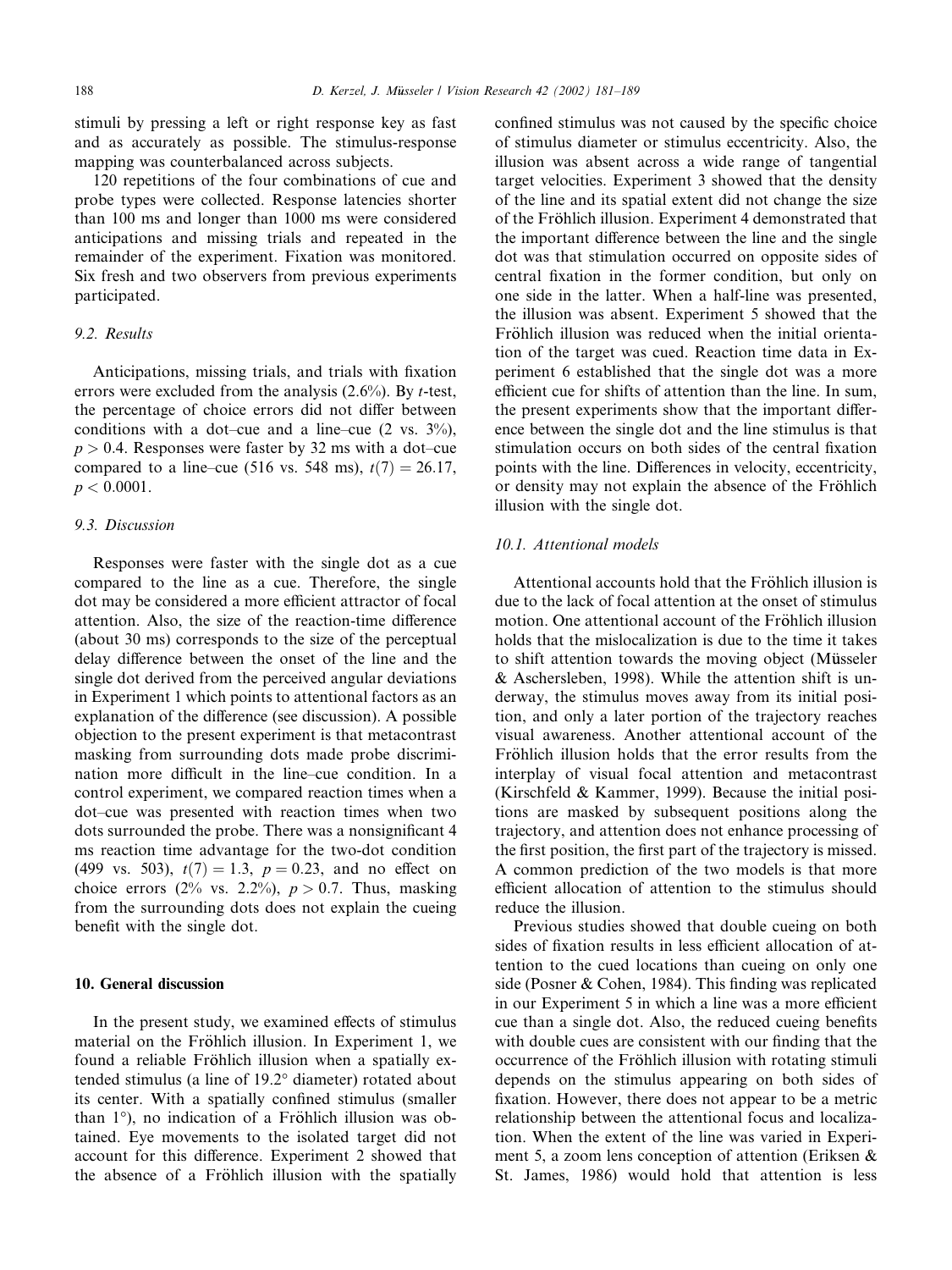stimuli by pressing a left or right response key as fast and as accurately as possible. The stimulus-response mapping was counterbalanced across subjects.

120 repetitions of the four combinations of cue and probe types were collected. Response latencies shorter than 100 ms and longer than 1000 ms were considered anticipations and missing trials and repeated in the remainder of the experiment. Fixation was monitored. Six fresh and two observers from previous experiments participated.

# 9.2. Results

Anticipations, missing trials, and trials with fixation errors were excluded from the analysis  $(2.6\%)$ . By t-test, the percentage of choice errors did not differ between conditions with a dot–cue and a line–cue  $(2 \text{ vs. } 3\%)$ ,  $p > 0.4$ . Responses were faster by 32 ms with a dot–cue compared to a line–cue (516 vs. 548 ms),  $t(7) = 26.17$ ,  $p < 0.0001$ .

# 9.3. Discussion

Responses were faster with the single dot as a cue compared to the line as a cue. Therefore, the single dot may be considered a more efficient attractor of focal attention. Also, the size of the reaction-time difference (about 30 ms) corresponds to the size of the perceptual delay difference between the onset of the line and the single dot derived from the perceived angular deviations in Experiment 1 which points to attentional factors as an explanation of the difference (see discussion). A possible objection to the present experiment is that metacontrast masking from surrounding dots made probe discrimination more difficult in the line–cue condition. In a control experiment, we compared reaction times when a dot–cue was presented with reaction times when two dots surrounded the probe. There was a nonsignificant 4 ms reaction time advantage for the two-dot condition (499 vs. 503),  $t(7) = 1.3$ ,  $p = 0.23$ , and no effect on choice errors (2% vs. 2.2%),  $p > 0.7$ . Thus, masking from the surrounding dots does not explain the cueing benefit with the single dot.

# 10. General discussion

In the present study, we examined effects of stimulus material on the Fröhlich illusion. In Experiment 1, we found a reliable Fröhlich illusion when a spatially extended stimulus (a line of 19.2° diameter) rotated about its center. With a spatially confined stimulus (smaller than 1°), no indication of a Fröhlich illusion was obtained. Eye movements to the isolated target did not account for this difference. Experiment 2 showed that the absence of a Fröhlich illusion with the spatially

confined stimulus was not caused by the specific choice of stimulus diameter or stimulus eccentricity. Also, the illusion was absent across a wide range of tangential target velocities. Experiment 3 showed that the density of the line and its spatial extent did not change the size of the Fröhlich illusion. Experiment 4 demonstrated that the important difference between the line and the single dot was that stimulation occurred on opposite sides of central fixation in the former condition, but only on one side in the latter. When a half-line was presented, the illusion was absent. Experiment 5 showed that the Fröhlich illusion was reduced when the initial orientation of the target was cued. Reaction time data in Experiment 6 established that the single dot was a more efficient cue for shifts of attention than the line. In sum, the present experiments show that the important difference between the single dot and the line stimulus is that stimulation occurs on both sides of the central fixation points with the line. Differences in velocity, eccentricity, or density may not explain the absence of the Fröhlich illusion with the single dot.

## 10.1. Attentional models

Attentional accounts hold that the Fröhlich illusion is due to the lack of focal attention at the onset of stimulus motion. One attentional account of the Fröhlich illusion holds that the mislocalization is due to the time it takes to shift attention towards the moving object (Müsseler & Aschersleben, 1998). While the attention shift is underway, the stimulus moves away from its initial position, and only a later portion of the trajectory reaches visual awareness. Another attentional account of the Fröhlich illusion holds that the error results from the interplay of visual focal attention and metacontrast (Kirschfeld & Kammer, 1999). Because the initial positions are masked by subsequent positions along the trajectory, and attention does not enhance processing of the first position, the first part of the trajectory is missed. A common prediction of the two models is that more efficient allocation of attention to the stimulus should reduce the illusion.

Previous studies showed that double cueing on both sides of fixation results in less efficient allocation of attention to the cued locations than cueing on only one side (Posner & Cohen, 1984). This finding was replicated in our Experiment 5 in which a line was a more efficient cue than a single dot. Also, the reduced cueing benefits with double cues are consistent with our finding that the occurrence of the Fröhlich illusion with rotating stimuli depends on the stimulus appearing on both sides of fixation. However, there does not appear to be a metric relationship between the attentional focus and localization. When the extent of the line was varied in Experiment 5, a zoom lens conception of attention (Eriksen & St. James, 1986) would hold that attention is less